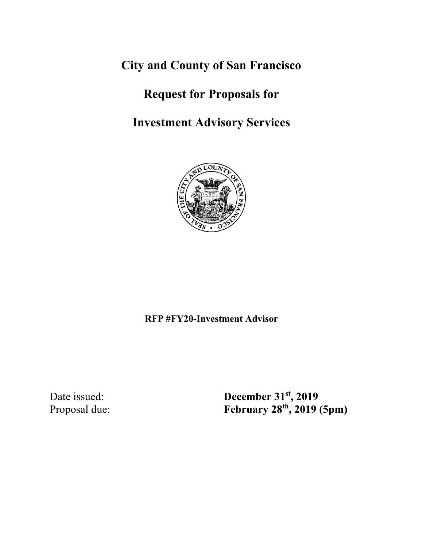**City and County of San Francisco**

# **Request for Proposals for**

**Investment Advisory Services**



**RFP #FY20-Investment Advisor**

Date issued: **December 31<sup>st</sup>, 2019** Proposal due: **February 28th, 2019 (5pm)**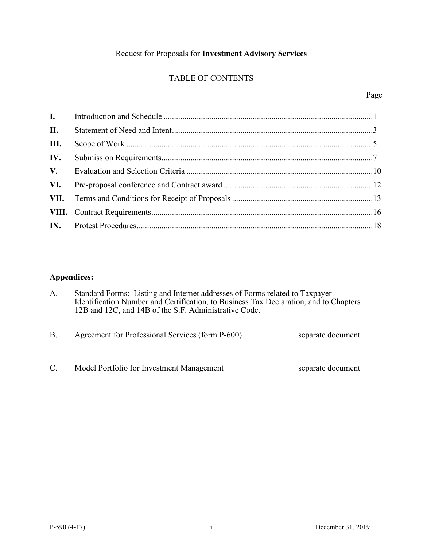# Request for Proposals for **Investment Advisory Services**

# TABLE OF CONTENTS

# Page

| II. |  |
|-----|--|
| Ш.  |  |
| IV. |  |
|     |  |
|     |  |
|     |  |
|     |  |
|     |  |

# **Appendices:**

| A.        | Standard Forms: Listing and Internet addresses of Forms related to Taxpayer<br>Identification Number and Certification, to Business Tax Declaration, and to Chapters<br>12B and 12C, and 14B of the S.F. Administrative Code. |                   |
|-----------|-------------------------------------------------------------------------------------------------------------------------------------------------------------------------------------------------------------------------------|-------------------|
| <b>B.</b> | Agreement for Professional Services (form P-600)                                                                                                                                                                              | separate document |

C. Model Portfolio for Investment Management separate document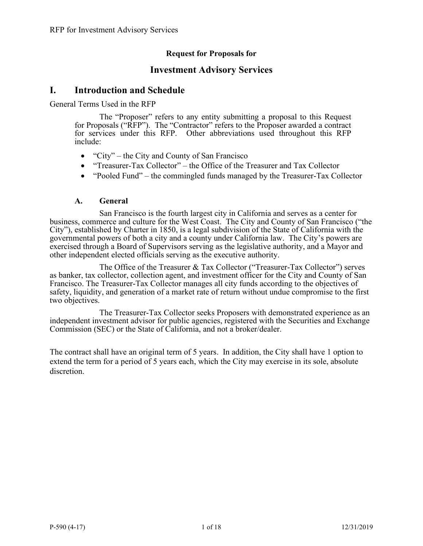# **Request for Proposals for**

# **Investment Advisory Services**

# **I. Introduction and Schedule**

General Terms Used in the RFP

The "Proposer" refers to any entity submitting a proposal to this Request for Proposals ("RFP"). The "Contractor" refers to the Proposer awarded a contract for services under this RFP. Other abbreviations used throughout this RFP include:

- "City" the City and County of San Francisco"
- "Treasurer-Tax Collector" the Office of the Treasurer and Tax Collector
- "Pooled Fund" the commingled funds managed by the Treasurer-Tax Collector

### **A. General**

San Francisco is the fourth largest city in California and serves as a center for business, commerce and culture for the West Coast. The City and County of San Francisco ("the City"), established by Charter in 1850, is a legal subdivision of the State of California with the governmental powers of both a city and a county under California law. The City's powers are exercised through a Board of Supervisors serving as the legislative authority, and a Mayor and other independent elected officials serving as the executive authority.

The Office of the Treasurer & Tax Collector ("Treasurer-Tax Collector") serves as banker, tax collector, collection agent, and investment officer for the City and County of San Francisco. The Treasurer-Tax Collector manages all city funds according to the objectives of safety, liquidity, and generation of a market rate of return without undue compromise to the first two objectives.

The Treasurer-Tax Collector seeks Proposers with demonstrated experience as an independent investment advisor for public agencies, registered with the Securities and Exchange Commission (SEC) or the State of California, and not a broker/dealer.

The contract shall have an original term of 5 years. In addition, the City shall have 1 option to extend the term for a period of 5 years each, which the City may exercise in its sole, absolute discretion.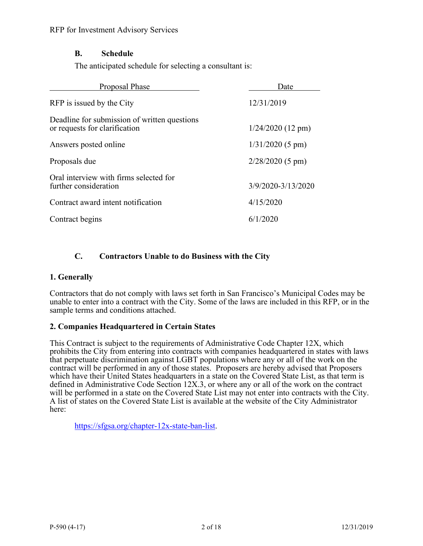# **B. Schedule**

The anticipated schedule for selecting a consultant is:

| Proposal Phase                                                                | Date                |
|-------------------------------------------------------------------------------|---------------------|
| RFP is issued by the City                                                     | 12/31/2019          |
| Deadline for submission of written questions<br>or requests for clarification | $1/24/2020$ (12 pm) |
| Answers posted online                                                         | $1/31/2020$ (5 pm)  |
| Proposals due                                                                 | $2/28/2020$ (5 pm)  |
| Oral interview with firms selected for<br>further consideration               | 3/9/2020-3/13/2020  |
| Contract award intent notification                                            | 4/15/2020           |
| Contract begins                                                               | 6/1/2020            |

# **C. Contractors Unable to do Business with the City**

# **1. Generally**

Contractors that do not comply with laws set forth in San Francisco's Municipal Codes may be unable to enter into a contract with the City. Some of the laws are included in this RFP, or in the sample terms and conditions attached.

# **2. Companies Headquartered in Certain States**

This Contract is subject to the requirements of Administrative Code Chapter 12X, which prohibits the City from entering into contracts with companies headquartered in states with laws that perpetuate discrimination against LGBT populations where any or all of the work on the contract will be performed in any of those states. Proposers are hereby advised that Proposers which have their United States headquarters in a state on the Covered State List, as that term is defined in Administrative Code Section 12X.3, or where any or all of the work on the contract will be performed in a state on the Covered State List may not enter into contracts with the City. A list of states on the Covered State List is available at the website of the City Administrator here:

[https://sfgsa.org/chapter-12x-state-ban-list.](https://sfgsa.org/chapter-12x-state-ban-list)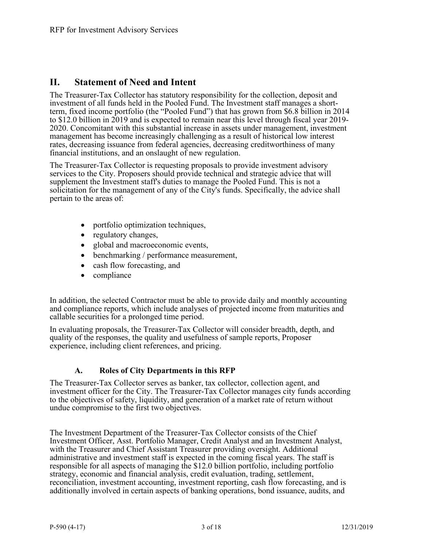# **II. Statement of Need and Intent**

The Treasurer-Tax Collector has statutory responsibility for the collection, deposit and investment of all funds held in the Pooled Fund. The Investment staff manages a shortterm, fixed income portfolio (the "Pooled Fund") that has grown from \$6.8 billion in 2014 to \$12.0 billion in 2019 and is expected to remain near this level through fiscal year 2019-2020. Concomitant with this substantial increase in assets under management, investment management has become increasingly challenging as a result of historical low interest rates, decreasing issuance from federal agencies, decreasing creditworthiness of many financial institutions, and an onslaught of new regulation.

The Treasurer-Tax Collector is requesting proposals to provide investment advisory services to the City. Proposers should provide technical and strategic advice that will supplement the Investment staff's duties to manage the Pooled Fund. This is not a solicitation for the management of any of the City's funds. Specifically, the advice shall pertain to the areas of:

- portfolio optimization techniques,
- regulatory changes,
- global and macroeconomic events,
- benchmarking / performance measurement,
- cash flow forecasting, and
- compliance

In addition, the selected Contractor must be able to provide daily and monthly accounting and compliance reports, which include analyses of projected income from maturities and callable securities for a prolonged time period.

In evaluating proposals, the Treasurer-Tax Collector will consider breadth, depth, and quality of the responses, the quality and usefulness of sample reports, Proposer experience, including client references, and pricing.

# **A. Roles of City Departments in this RFP**

The Treasurer-Tax Collector serves as banker, tax collector, collection agent, and investment officer for the City. The Treasurer-Tax Collector manages city funds according to the objectives of safety, liquidity, and generation of a market rate of return without undue compromise to the first two objectives.

The Investment Department of the Treasurer-Tax Collector consists of the Chief Investment Officer, Asst. Portfolio Manager, Credit Analyst and an Investment Analyst, with the Treasurer and Chief Assistant Treasurer providing oversight. Additional administrative and investment staff is expected in the coming fiscal years. The staff is responsible for all aspects of managing the \$12.0 billion portfolio, including portfolio strategy, economic and financial analysis, credit evaluation, trading, settlement, reconciliation, investment accounting, investment reporting, cash flow forecasting, and is additionally involved in certain aspects of banking operations, bond issuance, audits, and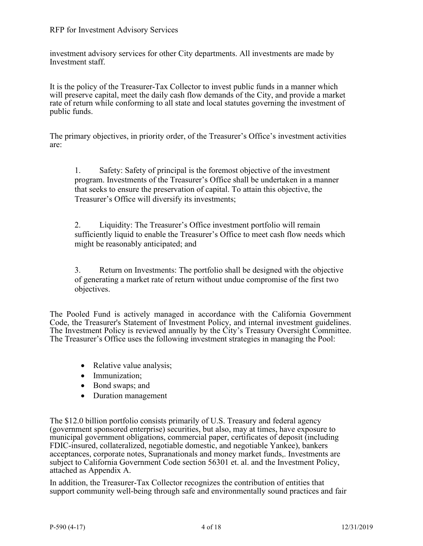investment advisory services for other City departments. All investments are made by Investment staff.

It is the policy of the Treasurer-Tax Collector to invest public funds in a manner which will preserve capital, meet the daily cash flow demands of the City, and provide a market rate of return while conforming to all state and local statutes governing the investment of public funds.

The primary objectives, in priority order, of the Treasurer's Office's investment activities are:

1. Safety: Safety of principal is the foremost objective of the investment program. Investments of the Treasurer's Office shall be undertaken in a manner that seeks to ensure the preservation of capital. To attain this objective, the Treasurer's Office will diversify its investments;

2. Liquidity: The Treasurer's Office investment portfolio will remain sufficiently liquid to enable the Treasurer's Office to meet cash flow needs which might be reasonably anticipated; and

3. Return on Investments: The portfolio shall be designed with the objective of generating a market rate of return without undue compromise of the first two objectives.

The Pooled Fund is actively managed in accordance with the California Government Code, the Treasurer's Statement of Investment Policy, and internal investment guidelines. The Investment Policy is reviewed annually by the City's Treasury Oversight Committee. The Treasurer's Office uses the following investment strategies in managing the Pool:

- Relative value analysis;
- Immunization;
- Bond swaps; and
- Duration management

The \$12.0 billion portfolio consists primarily of U.S. Treasury and federal agency (government sponsored enterprise) securities, but also, may at times, have exposure to municipal government obligations, commercial paper, certificates of deposit (including FDIC-insured, collateralized, negotiable domestic, and negotiable Yankee), bankers acceptances, corporate notes, Supranationals and money market funds,. Investments are subject to California Government Code section 56301 et. al. and the Investment Policy, attached as Appendix A.

In addition, the Treasurer-Tax Collector recognizes the contribution of entities that support community well-being through safe and environmentally sound practices and fair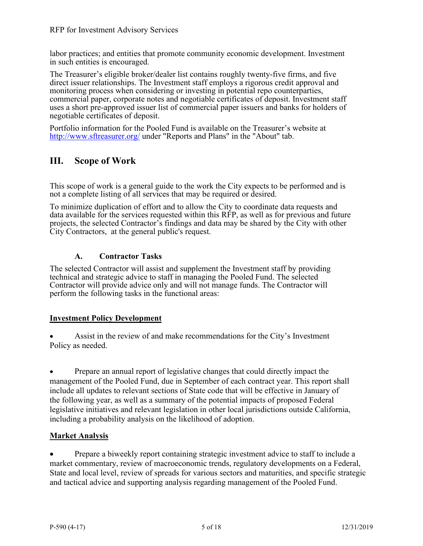labor practices; and entities that promote community economic development. Investment in such entities is encouraged.

The Treasurer's eligible broker/dealer list contains roughly twenty-five firms, and five direct issuer relationships. The Investment staff employs a rigorous credit approval and monitoring process when considering or investing in potential repo counterparties, commercial paper, corporate notes and negotiable certificates of deposit. Investment staff uses a short pre-approved issuer list of commercial paper issuers and banks for holders of negotiable certificates of deposit.

Portfolio information for the Pooled Fund is available on the Treasurer's website at <http://www.sftreasurer.org/> under "Reports and Plans" in the "About" tab.

# **III. Scope of Work**

This scope of work is a general guide to the work the City expects to be performed and is not a complete listing of all services that may be required or desired.

To minimize duplication of effort and to allow the City to coordinate data requests and data available for the services requested within this RFP, as well as for previous and future projects, the selected Contractor's findings and data may be shared by the City with other City Contractors, at the general public's request.

# **A. Contractor Tasks**

The selected Contractor will assist and supplement the Investment staff by providing technical and strategic advice to staff in managing the Pooled Fund. The selected Contractor will provide advice only and will not manage funds. The Contractor will perform the following tasks in the functional areas:

# **Investment Policy Development**

• Assist in the review of and make recommendations for the City's Investment Policy as needed.

Prepare an annual report of legislative changes that could directly impact the management of the Pooled Fund, due in September of each contract year. This report shall include all updates to relevant sections of State code that will be effective in January of the following year, as well as a summary of the potential impacts of proposed Federal legislative initiatives and relevant legislation in other local jurisdictions outside California, including a probability analysis on the likelihood of adoption.

# **Market Analysis**

• Prepare a biweekly report containing strategic investment advice to staff to include a market commentary, review of macroeconomic trends, regulatory developments on a Federal, State and local level, review of spreads for various sectors and maturities, and specific strategic and tactical advice and supporting analysis regarding management of the Pooled Fund.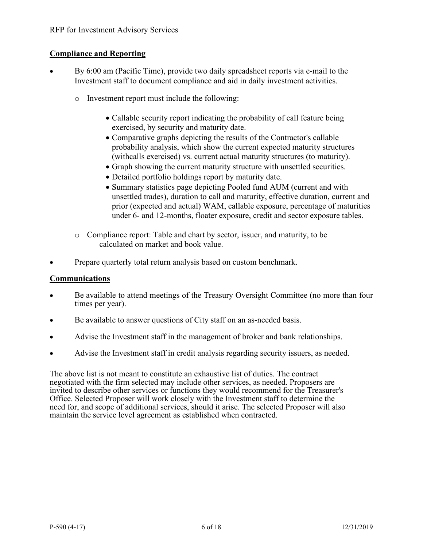# **Compliance and Reporting**

- By 6:00 am (Pacific Time), provide two daily spreadsheet reports via e-mail to the Investment staff to document compliance and aid in daily investment activities.
	- o Investment report must include the following:
		- Callable security report indicating the probability of call feature being exercised, by security and maturity date.
		- Comparative graphs depicting the results of the Contractor's callable probability analysis, which show the current expected maturity structures (withcalls exercised) vs. current actual maturity structures (to maturity).
		- Graph showing the current maturity structure with unsettled securities.
		- Detailed portfolio holdings report by maturity date.
		- Summary statistics page depicting Pooled fund AUM (current and with unsettled trades), duration to call and maturity, effective duration, current and prior (expected and actual) WAM, callable exposure, percentage of maturities under 6- and 12-months, floater exposure, credit and sector exposure tables.
	- o Compliance report: Table and chart by sector, issuer, and maturity, to be calculated on market and book value.
- Prepare quarterly total return analysis based on custom benchmark.

### **Communications**

- Be available to attend meetings of the Treasury Oversight Committee (no more than four times per year).
- Be available to answer questions of City staff on an as-needed basis.
- Advise the Investment staff in the management of broker and bank relationships.
- Advise the Investment staff in credit analysis regarding security issuers, as needed.

The above list is not meant to constitute an exhaustive list of duties. The contract negotiated with the firm selected may include other services, as needed. Proposers are invited to describe other services or functions they would recommend for the Treasurer's Office. Selected Proposer will work closely with the Investment staff to determine the need for, and scope of additional services, should it arise. The selected Proposer will also maintain the service level agreement as established when contracted.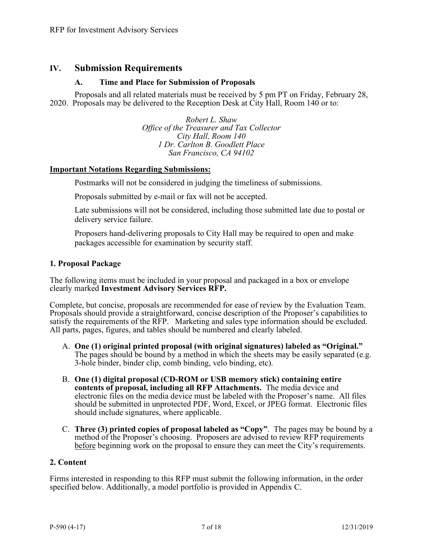# **IV. Submission Requirements**

### **A. Time and Place for Submission of Proposals**

Proposals and all related materials must be received by 5 pm PT on Friday, February 28, 2020. Proposals may be delivered to the Reception Desk at City Hall, Room 140 or to:

> *Robert L. Shaw Office of the Treasurer and Tax Collector City Hall, Room 140 1 Dr. Carlton B. Goodlett Place San Francisco, CA 94102*

### **Important Notations Regarding Submissions:**

Postmarks will not be considered in judging the timeliness of submissions.

Proposals submitted by e-mail or fax will not be accepted.

Late submissions will not be considered, including those submitted late due to postal or delivery service failure.

Proposers hand-delivering proposals to City Hall may be required to open and make packages accessible for examination by security staff.

### **1. Proposal Package**

The following items must be included in your proposal and packaged in a box or envelope clearly marked **Investment Advisory Services RFP.**

Complete, but concise, proposals are recommended for ease of review by the Evaluation Team. Proposals should provide a straightforward, concise description of the Proposer's capabilities to satisfy the requirements of the RFP. Marketing and sales type information should be excluded. All parts, pages, figures, and tables should be numbered and clearly labeled.

- A. **One (1) original printed proposal (with original signatures) labeled as "Original."** The pages should be bound by a method in which the sheets may be easily separated (e.g. 3-hole binder, binder clip, comb binding, velo binding, etc).
- B. **One (1) digital proposal (CD-ROM or USB memory stick) containing entire contents of proposal, including all RFP Attachments.** The media device and electronic files on the media device must be labeled with the Proposer's name. All files should be submitted in unprotected PDF, Word, Excel, or JPEG format. Electronic files should include signatures, where applicable.
- C. **Three (3) printed copies of proposal labeled as "Copy"**. The pages may be bound by a method of the Proposer's choosing. Proposers are advised to review RFP requirements before beginning work on the proposal to ensure they can meet the City's requirements.

# **2. Content**

Firms interested in responding to this RFP must submit the following information, in the order specified below. Additionally, a model portfolio is provided in Appendix C.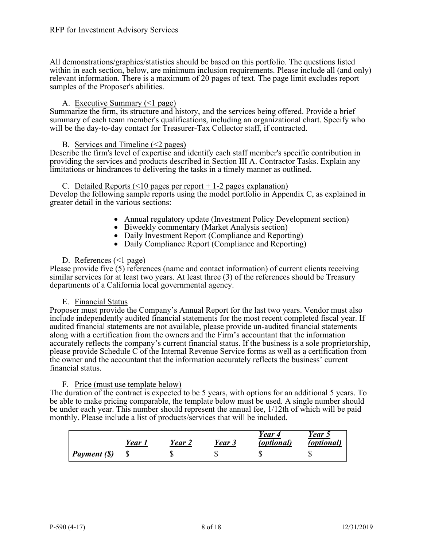All demonstrations/graphics/statistics should be based on this portfolio. The questions listed within in each section, below, are minimum inclusion requirements. Please include all (and only) relevant information. There is a maximum of 20 pages of text. The page limit excludes report samples of the Proposer's abilities.

#### A. Executive Summary (<1 page)

Summarize the firm, its structure and history, and the services being offered. Provide a brief summary of each team member's qualifications, including an organizational chart. Specify who will be the day-to-day contact for Treasurer-Tax Collector staff, if contracted.

#### B. Services and Timeline  $(\leq 2$  pages)

Describe the firm's level of expertise and identify each staff member's specific contribution in providing the services and products described in Section III A. Contractor Tasks. Explain any limitations or hindrances to delivering the tasks in a timely manner as outlined.

#### C. Detailed Reports  $($  < 10 pages per report + 1-2 pages explanation)

Develop the following sample reports using the model portfolio in Appendix C, as explained in greater detail in the various sections:

- Annual regulatory update (Investment Policy Development section)<br>
Biweekly commentary (Market Analysis section)<br>
Daily Investment Report (Compliance and Reporting)<br>
Daily Compliance Report (Compliance and Reporting
- 
- 
- 

#### D. References  $\leq 1$  page)

Please provide five (5) references (name and contact information) of current clients receiving similar services for at least two years. At least three (3) of the references should be Treasury departments of a California local governmental agency.

#### E. Financial Status

Proposer must provide the Company's Annual Report for the last two years. Vendor must also include independently audited financial statements for the most recent completed fiscal year. If audited financial statements are not available, please provide un-audited financial statements along with a certification from the owners and the Firm's accountant that the information accurately reflects the company's current financial status. If the business is a sole proprietorship, please provide Schedule C of the Internal Revenue Service forms as well as a certification from the owner and the accountant that the information accurately reflects the business' current financial status.

#### F. Price (must use template below)

The duration of the contract is expected to be 5 years, with options for an additional 5 years. To be able to make pricing comparable, the template below must be used. A single number should be under each year. This number should represent the annual fee, 1/12th of which will be paid monthly. Please include a list of products/services that will be included.

|                     | Year i | Year 2 | Year 3 | Year 4<br><i>(optional)</i> | Year 5<br>(optional) |
|---------------------|--------|--------|--------|-----------------------------|----------------------|
| $\mid$ Payment (\$) |        |        |        |                             |                      |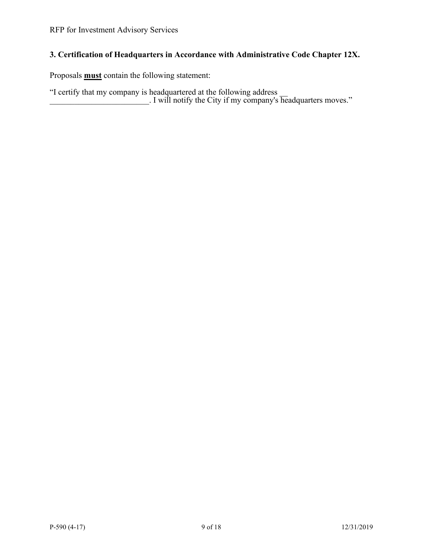# **3. Certification of Headquarters in Accordance with Administrative Code Chapter 12X.**

Proposals **must** contain the following statement:

"I certify that my company is headquartered at the following address \_\_ \_\_\_\_\_\_\_\_\_\_\_\_\_\_\_\_\_\_\_\_\_\_\_\_. I will notify the City if my company's headquarters moves."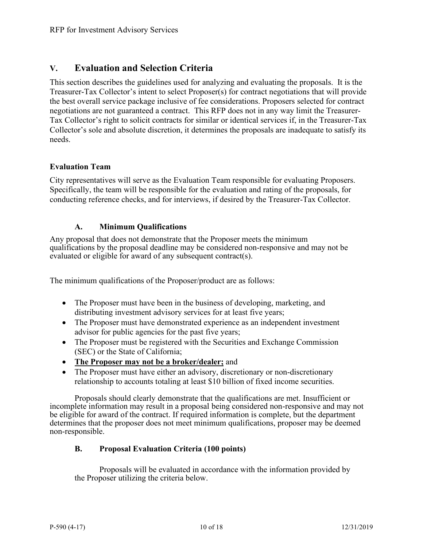# **V. Evaluation and Selection Criteria**

This section describes the guidelines used for analyzing and evaluating the proposals. It is the Treasurer-Tax Collector's intent to select Proposer(s) for contract negotiations that will provide the best overall service package inclusive of fee considerations. Proposers selected for contract negotiations are not guaranteed a contract. This RFP does not in any way limit the Treasurer-Tax Collector's right to solicit contracts for similar or identical services if, in the Treasurer-Tax Collector's sole and absolute discretion, it determines the proposals are inadequate to satisfy its needs.

# **Evaluation Team**

City representatives will serve as the Evaluation Team responsible for evaluating Proposers. Specifically, the team will be responsible for the evaluation and rating of the proposals, for conducting reference checks, and for interviews, if desired by the Treasurer-Tax Collector.

### **A. Minimum Qualifications**

Any proposal that does not demonstrate that the Proposer meets the minimum qualifications by the proposal deadline may be considered non-responsive and may not be evaluated or eligible for award of any subsequent contract(s).

The minimum qualifications of the Proposer/product are as follows:

- The Proposer must have been in the business of developing, marketing, and distributing investment advisory services for at least five years;
- The Proposer must have demonstrated experience as an independent investment advisor for public agencies for the past five years;
- The Proposer must be registered with the Securities and Exchange Commission (SEC) or the State of California;
- **The Proposer may not be a broker/dealer;** and
- The Proposer must have either an advisory, discretionary or non-discretionary relationship to accounts totaling at least \$10 billion of fixed income securities.

Proposals should clearly demonstrate that the qualifications are met. Insufficient or incomplete information may result in a proposal being considered non-responsive and may not be eligible for award of the contract. If required information is complete, but the department determines that the proposer does not meet minimum qualifications, proposer may be deemed non-responsible.

# **B. Proposal Evaluation Criteria (100 points)**

Proposals will be evaluated in accordance with the information provided by the Proposer utilizing the criteria below.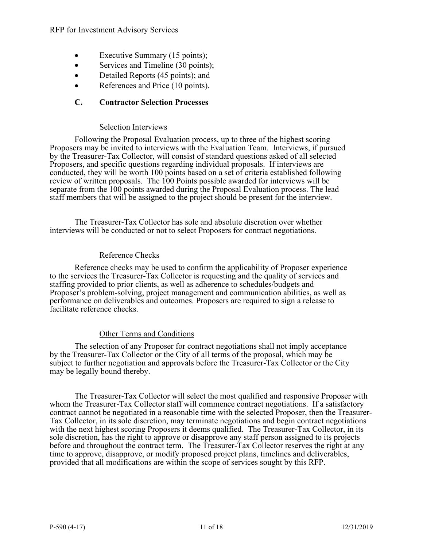- Executive Summary (15 points);
- Services and Timeline (30 points);
- Detailed Reports (45 points); and
- References and Price (10 points).

# **C. Contractor Selection Processes**

### Selection Interviews

Following the Proposal Evaluation process, up to three of the highest scoring Proposers may be invited to interviews with the Evaluation Team. Interviews, if pursued by the Treasurer-Tax Collector, will consist of standard questions asked of all selected Proposers, and specific questions regarding individual proposals. If interviews are conducted, they will be worth 100 points based on a set of criteria established following review of written proposals. The 100 Points possible awarded for interviews will be separate from the 100 points awarded during the Proposal Evaluation process. The lead staff members that will be assigned to the project should be present for the interview.

The Treasurer-Tax Collector has sole and absolute discretion over whether interviews will be conducted or not to select Proposers for contract negotiations.

### Reference Checks

Reference checks may be used to confirm the applicability of Proposer experience to the services the Treasurer-Tax Collector is requesting and the quality of services and staffing provided to prior clients, as well as adherence to schedules/budgets and Proposer's problem-solving, project management and communication abilities, as well as performance on deliverables and outcomes. Proposers are required to sign a release to facilitate reference checks.

### Other Terms and Conditions

The selection of any Proposer for contract negotiations shall not imply acceptance by the Treasurer-Tax Collector or the City of all terms of the proposal, which may be subject to further negotiation and approvals before the Treasurer-Tax Collector or the City may be legally bound thereby.

The Treasurer-Tax Collector will select the most qualified and responsive Proposer with whom the Treasurer-Tax Collector staff will commence contract negotiations. If a satisfactory contract cannot be negotiated in a reasonable time with the selected Proposer, then the Treasurer-Tax Collector, in its sole discretion, may terminate negotiations and begin contract negotiations with the next highest scoring Proposers it deems qualified. The Treasurer-Tax Collector, in its sole discretion, has the right to approve or disapprove any staff person assigned to its projects before and throughout the contract term. The Treasurer-Tax Collector reserves the right at any time to approve, disapprove, or modify proposed project plans, timelines and deliverables, provided that all modifications are within the scope of services sought by this RFP.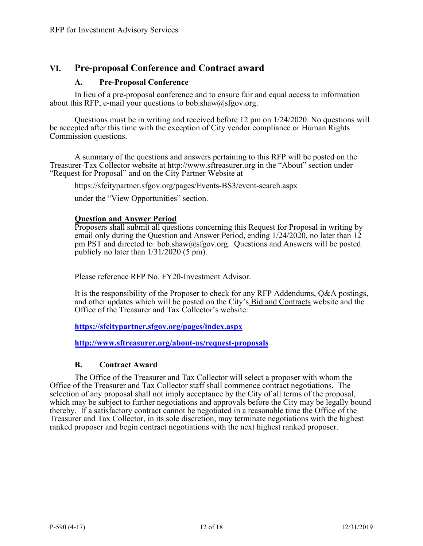# **VI. Pre-proposal Conference and Contract award**

### **A. Pre-Proposal Conference**

In lieu of a pre-proposal conference and to ensure fair and equal access to information about this RFP, e-mail your questions to bob.shaw@sfgov.org.

Questions must be in writing and received before 12 pm on 1/24/2020. No questions will be accepted after this time with the exception of City vendor compliance or Human Rights Commission questions.

A summary of the questions and answers pertaining to this RFP will be posted on the Treasurer-Tax Collector website at http://www.sftreasurer.org in the "About" section under "Request for Proposal" and on the City Partner Website at

https://sfcitypartner.sfgov.org/pages/Events-BS3/event-search.aspx

under the "View Opportunities" section.

### **Question and Answer Period**

Proposers shall submit all questions concerning this Request for Proposal in writing by email only during the Question and Answer Period, ending 1/24/2020, no later than 12 pm PST and directed to: bob.shaw@sfgov.org. Questions and Answers will be posted publicly no later than 1/31/2020 (5 pm).

Please reference RFP No. FY20-Investment Advisor.

It is the responsibility of the Proposer to check for any RFP Addendums, Q&A postings, and other updates which will be posted on the City's Bid and Contracts website and the Office of the Treasurer and Tax Collector's website:

**<https://sfcitypartner.sfgov.org/pages/index.aspx>**

**<http://www.sftreasurer.org/about-us/request-proposals>**

### **B. Contract Award**

The Office of the Treasurer and Tax Collector will select a proposer with whom the Office of the Treasurer and Tax Collector staff shall commence contract negotiations. The selection of any proposal shall not imply acceptance by the City of all terms of the proposal, which may be subject to further negotiations and approvals before the City may be legally bound thereby. If a satisfactory contract cannot be negotiated in a reasonable time the Office of the Treasurer and Tax Collector, in its sole discretion, may terminate negotiations with the highest ranked proposer and begin contract negotiations with the next highest ranked proposer.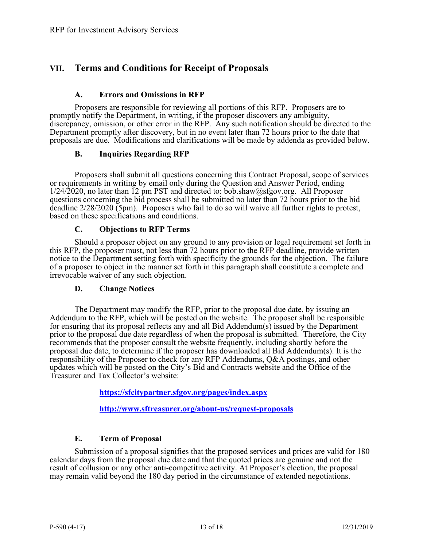# **VII. Terms and Conditions for Receipt of Proposals**

#### **A. Errors and Omissions in RFP**

Proposers are responsible for reviewing all portions of this RFP. Proposers are to promptly notify the Department, in writing, if the proposer discovers any ambiguity, discrepancy, omission, or other error in the RFP. Any such notification should be directed to the Department promptly after discovery, but in no event later than 72 hours prior to the date that proposals are due. Modifications and clarifications will be made by addenda as provided below.

### **B. Inquiries Regarding RFP**

Proposers shall submit all questions concerning this Contract Proposal, scope of services or requirements in writing by email only during the Question and Answer Period, ending 1/24/2020, no later than 12 pm PST and directed to: bob.shaw@sfgov.org. All Proposer questions concerning the bid process shall be submitted no later than 72 hours prior to the bid deadline 2/28/2020 (5pm). Proposers who fail to do so will waive all further rights to protest, based on these specifications and conditions.

#### **C. Objections to RFP Terms**

Should a proposer object on any ground to any provision or legal requirement set forth in this RFP, the proposer must, not less than 72 hours prior to the RFP deadline, provide written notice to the Department setting forth with specificity the grounds for the objection. The failure of a proposer to object in the manner set forth in this paragraph shall constitute a complete and irrevocable waiver of any such objection.

#### **D. Change Notices**

The Department may modify the RFP, prior to the proposal due date, by issuing an Addendum to the RFP, which will be posted on the website. The proposer shall be responsible for ensuring that its proposal reflects any and all Bid Addendum(s) issued by the Department prior to the proposal due date regardless of when the proposal is submitted. Therefore, the City recommends that the proposer consult the website frequently, including shortly before the proposal due date, to determine if the proposer has downloaded all Bid Addendum(s). It is the responsibility of the Proposer to check for any RFP Addendums, Q&A postings, and other updates which will be posted on the City's Bid and Contracts website and the Office of the Treasurer and Tax Collector's website:

**<https://sfcitypartner.sfgov.org/pages/index.aspx>**

**<http://www.sftreasurer.org/about-us/request-proposals>**

### **E. Term of Proposal**

Submission of a proposal signifies that the proposed services and prices are valid for 180 calendar days from the proposal due date and that the quoted prices are genuine and not the result of collusion or any other anti-competitive activity. At Proposer's election, the proposal may remain valid beyond the 180 day period in the circumstance of extended negotiations.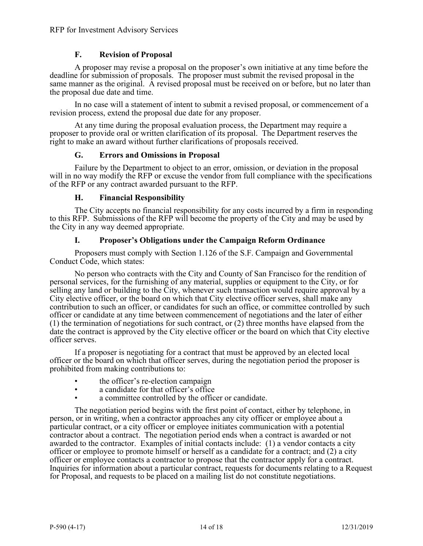### **F. Revision of Proposal**

A proposer may revise a proposal on the proposer's own initiative at any time before the deadline for submission of proposals. The proposer must submit the revised proposal in the same manner as the original. A revised proposal must be received on or before, but no later than the proposal due date and time.

In no case will a statement of intent to submit a revised proposal, or commencement of a revision process, extend the proposal due date for any proposer.

At any time during the proposal evaluation process, the Department may require a proposer to provide oral or written clarification of its proposal. The Department reserves the right to make an award without further clarifications of proposals received.

#### **G. Errors and Omissions in Proposal**

Failure by the Department to object to an error, omission, or deviation in the proposal will in no way modify the RFP or excuse the vendor from full compliance with the specifications of the RFP or any contract awarded pursuant to the RFP.

#### **H. Financial Responsibility**

The City accepts no financial responsibility for any costs incurred by a firm in responding to this RFP. Submissions of the RFP will become the property of the City and may be used by the City in any way deemed appropriate.

### **I. Proposer's Obligations under the Campaign Reform Ordinance**

Proposers must comply with Section 1.126 of the S.F. Campaign and Governmental Conduct Code, which states:

No person who contracts with the City and County of San Francisco for the rendition of personal services, for the furnishing of any material, supplies or equipment to the City, or for selling any land or building to the City, whenever such transaction would require approval by a City elective officer, or the board on which that City elective officer serves, shall make any contribution to such an officer, or candidates for such an office, or committee controlled by such officer or candidate at any time between commencement of negotiations and the later of either (1) the termination of negotiations for such contract, or (2) three months have elapsed from the date the contract is approved by the City elective officer or the board on which that City elective officer serves.

If a proposer is negotiating for a contract that must be approved by an elected local officer or the board on which that officer serves, during the negotiation period the proposer is prohibited from making contributions to:

- the officer's re-election campaign
- a candidate for that officer's office<br>• a committee controlled by the office
- a committee controlled by the officer or candidate.

The negotiation period begins with the first point of contact, either by telephone, in person, or in writing, when a contractor approaches any city officer or employee about a particular contract, or a city officer or employee initiates communication with a potential contractor about a contract. The negotiation period ends when a contract is awarded or not awarded to the contractor. Examples of initial contacts include: (1) a vendor contacts a city officer or employee to promote himself or herself as a candidate for a contract; and (2) a city officer or employee contacts a contractor to propose that the contractor apply for a contract. Inquiries for information about a particular contract, requests for documents relating to a Request for Proposal, and requests to be placed on a mailing list do not constitute negotiations.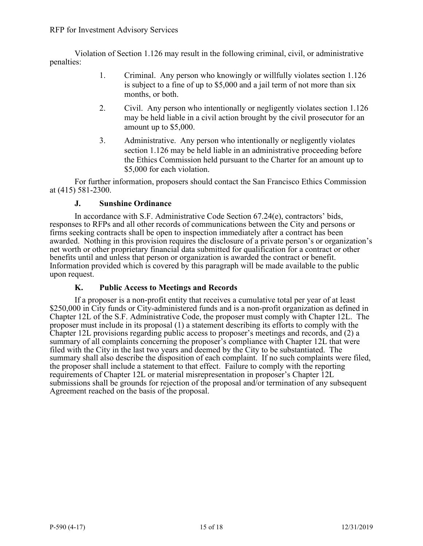Violation of Section 1.126 may result in the following criminal, civil, or administrative penalties:

- 1. Criminal. Any person who knowingly or willfully violates section 1.126 is subject to a fine of up to \$5,000 and a jail term of not more than six months, or both.
- 2. Civil. Any person who intentionally or negligently violates section 1.126 may be held liable in a civil action brought by the civil prosecutor for an amount up to \$5,000.
- 3. Administrative. Any person who intentionally or negligently violates section 1.126 may be held liable in an administrative proceeding before the Ethics Commission held pursuant to the Charter for an amount up to \$5,000 for each violation.

For further information, proposers should contact the San Francisco Ethics Commission at (415) 581-2300.

### **J. Sunshine Ordinance**

In accordance with S.F. Administrative Code Section 67.24(e), contractors' bids, responses to RFPs and all other records of communications between the City and persons or firms seeking contracts shall be open to inspection immediately after a contract has been awarded. Nothing in this provision requires the disclosure of a private person's or organization's net worth or other proprietary financial data submitted for qualification for a contract or other benefits until and unless that person or organization is awarded the contract or benefit. Information provided which is covered by this paragraph will be made available to the public upon request.

# **K. Public Access to Meetings and Records**

If a proposer is a non-profit entity that receives a cumulative total per year of at least \$250,000 in City funds or City-administered funds and is a non-profit organization as defined in Chapter 12L of the S.F. Administrative Code, the proposer must comply with Chapter 12L. The proposer must include in its proposal (1) a statement describing its efforts to comply with the Chapter 12L provisions regarding public access to proposer's meetings and records, and (2) a summary of all complaints concerning the proposer's compliance with Chapter 12L that were filed with the City in the last two years and deemed by the City to be substantiated. The summary shall also describe the disposition of each complaint. If no such complaints were filed, the proposer shall include a statement to that effect. Failure to comply with the reporting requirements of Chapter 12L or material misrepresentation in proposer's Chapter 12L submissions shall be grounds for rejection of the proposal and/or termination of any subsequent Agreement reached on the basis of the proposal.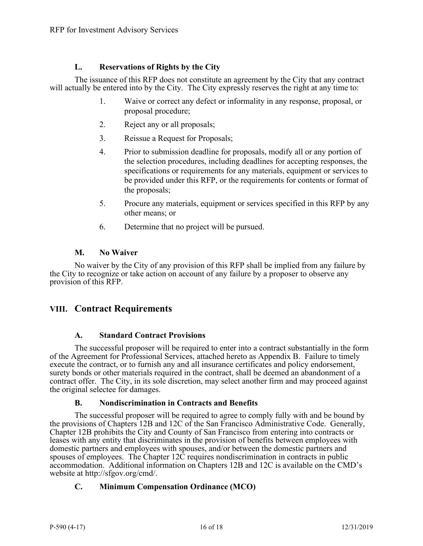# **L. Reservations of Rights by the City**

The issuance of this RFP does not constitute an agreement by the City that any contract will actually be entered into by the City. The City expressly reserves the right at any time to:

- 1. Waive or correct any defect or informality in any response, proposal, or proposal procedure;
- 2. Reject any or all proposals;
- 3. Reissue a Request for Proposals;
- 4. Prior to submission deadline for proposals, modify all or any portion of the selection procedures, including deadlines for accepting responses, the specifications or requirements for any materials, equipment or services to be provided under this RFP, or the requirements for contents or format of the proposals;
- 5. Procure any materials, equipment or services specified in this RFP by any other means; or
- 6. Determine that no project will be pursued.

### **M. No Waiver**

No waiver by the City of any provision of this RFP shall be implied from any failure by the City to recognize or take action on account of any failure by a proposer to observe any provision of this RFP.

# **VIII. Contract Requirements**

### **A. Standard Contract Provisions**

The successful proposer will be required to enter into a contract substantially in the form of the Agreement for Professional Services, attached hereto as Appendix B. Failure to timely execute the contract, or to furnish any and all insurance certificates and policy endorsement, surety bonds or other materials required in the contract, shall be deemed an abandonment of a contract offer. The City, in its sole discretion, may select another firm and may proceed against the original selectee for damages.

### **B. Nondiscrimination in Contracts and Benefits**

The successful proposer will be required to agree to comply fully with and be bound by the provisions of Chapters 12B and 12C of the San Francisco Administrative Code. Generally, Chapter 12B prohibits the City and County of San Francisco from entering into contracts or leases with any entity that discriminates in the provision of benefits between employees with domestic partners and employees with spouses, and/or between the domestic partners and spouses of employees. The Chapter 12C requires nondiscrimination in contracts in public accommodation. Additional information on Chapters 12B and 12C is available on the CMD's website at http://sfgov.org/cmd/.

# **C. Minimum Compensation Ordinance (MCO)**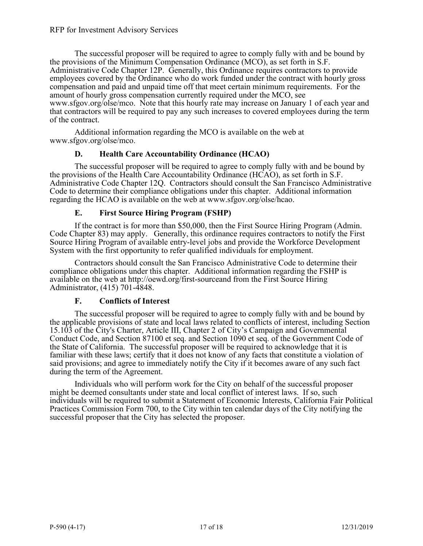The successful proposer will be required to agree to comply fully with and be bound by the provisions of the Minimum Compensation Ordinance (MCO), as set forth in S.F. Administrative Code Chapter 12P. Generally, this Ordinance requires contractors to provide employees covered by the Ordinance who do work funded under the contract with hourly gross compensation and paid and unpaid time off that meet certain minimum requirements. For the amount of hourly gross compensation currently required under the MCO, see www.sfgov.org/olse/mco. Note that this hourly rate may increase on January 1 of each year and that contractors will be required to pay any such increases to covered employees during the term of the contract.

Additional information regarding the MCO is available on the web at www.sfgov.org/olse/mco.

### **D. Health Care Accountability Ordinance (HCAO)**

The successful proposer will be required to agree to comply fully with and be bound by the provisions of the Health Care Accountability Ordinance (HCAO), as set forth in S.F. Administrative Code Chapter 12Q. Contractors should consult the San Francisco Administrative Code to determine their compliance obligations under this chapter. Additional information regarding the HCAO is available on the web at www.sfgov.org/olse/hcao.

### **E. First Source Hiring Program (FSHP)**

If the contract is for more than \$50,000, then the First Source Hiring Program (Admin. Code Chapter 83) may apply. Generally, this ordinance requires contractors to notify the First Source Hiring Program of available entry-level jobs and provide the Workforce Development System with the first opportunity to refer qualified individuals for employment.

Contractors should consult the San Francisco Administrative Code to determine their compliance obligations under this chapter. Additional information regarding the FSHP is available on the web at http://oewd.org/first-sourceand from the First Source Hiring Administrator, (415) 701-4848.

### **F. Conflicts of Interest**

The successful proposer will be required to agree to comply fully with and be bound by the applicable provisions of state and local laws related to conflicts of interest, including Section 15.103 of the City's Charter, Article III, Chapter 2 of City's Campaign and Governmental Conduct Code, and Section 87100 et seq. and Section 1090 et seq. of the Government Code of the State of California. The successful proposer will be required to acknowledge that it is familiar with these laws; certify that it does not know of any facts that constitute a violation of said provisions; and agree to immediately notify the City if it becomes aware of any such fact during the term of the Agreement.

Individuals who will perform work for the City on behalf of the successful proposer might be deemed consultants under state and local conflict of interest laws. If so, such individuals will be required to submit a Statement of Economic Interests, California Fair Political Practices Commission Form 700, to the City within ten calendar days of the City notifying the successful proposer that the City has selected the proposer.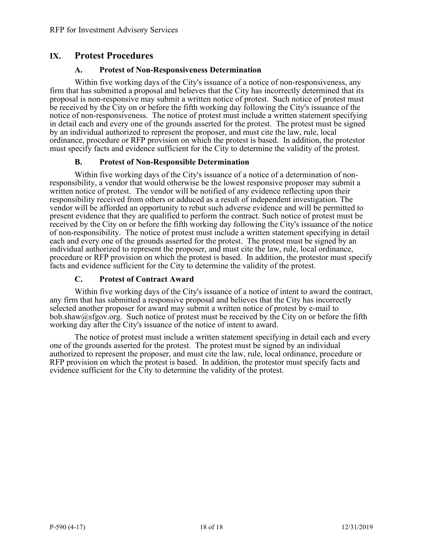# **IX. Protest Procedures**

#### **A. Protest of Non-Responsiveness Determination**

Within five working days of the City's issuance of a notice of non-responsiveness, any firm that has submitted a proposal and believes that the City has incorrectly determined that its proposal is non-responsive may submit a written notice of protest. Such notice of protest must be received by the City on or before the fifth working day following the City's issuance of the notice of non-responsiveness. The notice of protest must include a written statement specifying in detail each and every one of the grounds asserted for the protest. The protest must be signed by an individual authorized to represent the proposer, and must cite the law, rule, local ordinance, procedure or RFP provision on which the protest is based. In addition, the protestor must specify facts and evidence sufficient for the City to determine the validity of the protest.

### **B. Protest of Non-Responsible Determination**

Within five working days of the City's issuance of a notice of a determination of nonresponsibility, a vendor that would otherwise be the lowest responsive proposer may submit a written notice of protest. The vendor will be notified of any evidence reflecting upon their responsibility received from others or adduced as a result of independent investigation. The vendor will be afforded an opportunity to rebut such adverse evidence and will be permitted to present evidence that they are qualified to perform the contract. Such notice of protest must be received by the City on or before the fifth working day following the City's issuance of the notice of non-responsibility. The notice of protest must include a written statement specifying in detail each and every one of the grounds asserted for the protest. The protest must be signed by an individual authorized to represent the proposer, and must cite the law, rule, local ordinance, procedure or RFP provision on which the protest is based. In addition, the protestor must specify facts and evidence sufficient for the City to determine the validity of the protest.

### **C. Protest of Contract Award**

Within five working days of the City's issuance of a notice of intent to award the contract, any firm that has submitted a responsive proposal and believes that the City has incorrectly selected another proposer for award may submit a written notice of protest by e-mail to bob.shaw@sfgov.org. Such notice of protest must be received by the City on or before the fifth working day after the City's issuance of the notice of intent to award.

The notice of protest must include a written statement specifying in detail each and every one of the grounds asserted for the protest. The protest must be signed by an individual authorized to represent the proposer, and must cite the law, rule, local ordinance, procedure or RFP provision on which the protest is based. In addition, the protestor must specify facts and evidence sufficient for the City to determine the validity of the protest.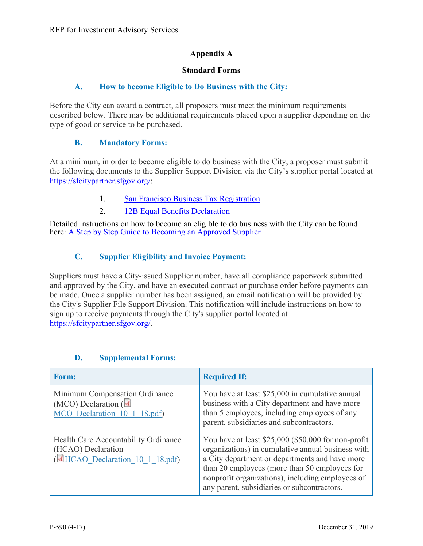# **Appendix A**

### **Standard Forms**

### **A. How to become Eligible to Do Business with the City:**

Before the City can award a contract, all proposers must meet the minimum requirements described below. There may be additional requirements placed upon a supplier depending on the type of good or service to be purchased.

# **B. Mandatory Forms:**

At a minimum, in order to become eligible to do business with the City, a proposer must submit the following documents to the Supplier Support Division via the City's supplier portal located at [https://sfcitypartner.sfgov.org/:](https://sfcitypartner.sfgov.org/)

- 1. [San Francisco Business](https://sfcitypartner.sfgov.org/pages/become-a-supplier.aspx) Tax Registration
- 2. [12B Equal Benefits Declaration](https://sfcitypartner.sfgov.org/pages/become-a-supplier.aspx)

Detailed instructions on how to become an eligible to do business with the City can be found here: [A Step by Step Guide to Becoming an Approved Supplier](https://s3.amazonaws.com/cdn.freshservice.com/data/helpdesk/attachments/production/11008906273/original/A%20Step%20by%20Step%20Guide%20to%20Becoming%20an%20Approved%20Supplier.pdf?response-content-type=application%2Fpdf&X-Amz-Algorithm=AWS4-HMAC-SHA256&X-Amz-Credential=ASIAU2ZWJDBAI2NFR34X%2F20191227%2Fus-east-1%2Fs3%2Faws4_request&X-Amz-Date=20191227T221345Z&X-Amz-Expires=120&X-Amz-SignedHeaders=host&X-Amz-Security-Token=IQoJb3JpZ2luX2VjEC4aCXVzLWVhc3QtMSJGMEQCIQDNY5aE1GDSF0IIH5XZjULooNuMpwyuNlh%2BCYiMj5cyAwIfUHCXHaxLt4zKuP3l9SfzImMhuF%2BKZs%2BUA%2FSxGeUnHSq9AwiW%2F%2F%2F%2F%2F%2F%2F%2F%2F%2F8BEAAaDDMzMjQzNjkzNjc2OCIM%2F0cpYbbVR1R2qlfTKpED%2FwovvolAS0ZjD7PbaDfqt34rYwm0tlRXW3muZ9mxgW4NOemS8QJhvPzfta0%2BCZ4yDgrC2Vrf5qwj0gy3Kx6Vy0Ib6XehOeuO2CpotBmXTm8OefCWZyYsSuJEp4OCSOWshcfp%2Bb0WRXVmXaG24bZPNXHFhQMKQZm6Jg9mVWAxPWPvliCzoZwF0DepL2MdTJEukSzyOzsgyvoxBR7WKukf2wNEq65ikguUruF5kj37I9aqqmUoOPtgyc0InGLrVP%2B3%2FbeOqz%2BkFQ0posUUqKW9%2BLX58m911Lj9HPMGLtWwEnNihHm%2Fr0jY%2Fv4gOFbefifoImG6Xgl4KCG5sMAqIPywG0S9fKAOQE%2BMlbuwoET2UnudHS02%2BmimEWQThqQ9bxr5LKJmLMnaO188WCvw06jhnZ2zhnKjW46EzJdIxWyi%2F5HWHPipaQnbFihlHIw1BiPkhpKC1s2b5Y22DWBnMJawcC1ygtn1rUxUrXJdnbX9BkV0AEpcQrO9nfVii7gGIc0guD4jLfGgSOsb7jYAGnma3fcwvuyZ8AU67AEKXX5acZ5XpkmyKxG3cC%2F2AXFuulaR2cmiphSIjOX%2F2kbKlUb0Bmy5ZsD8PqEnIZG4NzE5wf%2BhGj9ZP8N4YwS4ab7vGAyAB2YA9IyCUEBnQHkwoFamaZdN0WESUUjIV4t5%2BJeJmWc0I7P4UN5h%2BMki67M6Gbks6u77FNhaMzrrohIYgGbKG5fFPgKhp67wElmV%2BlfxeeZkm6IyZz6T4qjZOr4fDpo2WtJafWZhmqW%2BbxmaoGjH8VVJexSyZJcinJP4zoPamFr3Ag3Ahxw3GCuQrqEUIL%2FVpdFTmcDhDsS4ZGGCfJb8I%2FNgjlm26Q%3D%3D&X-Amz-Signature=ffdbd10f47b610b15a2db3a2b4a0950777d78d250bfa9655c4f86da10c2a50c1)

# **C. Supplier Eligibility and Invoice Payment:**

Suppliers must have a City-issued Supplier number, have all compliance paperwork submitted and approved by the City, and have an executed contract or purchase order before payments can be made. Once a supplier number has been assigned, an email notification will be provided by the City's Supplier File Support Division. This notification will include instructions on how to sign up to receive payments through the City's supplier portal located at [https://sfcitypartner.sfgov.org/.](https://sfcitypartner.sfgov.org/)

| Form:                                                                                              | <b>Required If:</b>                                                                                                                                                                                                                                                                                            |
|----------------------------------------------------------------------------------------------------|----------------------------------------------------------------------------------------------------------------------------------------------------------------------------------------------------------------------------------------------------------------------------------------------------------------|
| Minimum Compensation Ordinance<br>(MCO) Declaration $\overline{A}$<br>MCO Declaration 10 1 18.pdf) | You have at least \$25,000 in cumulative annual<br>business with a City department and have more<br>than 5 employees, including employees of any<br>parent, subsidiaries and subcontractors.                                                                                                                   |
| Health Care Accountability Ordinance<br>(HCAO) Declaration<br>HCAO Declaration 10 1 18.pdf)        | You have at least \$25,000 (\$50,000 for non-profit<br>organizations) in cumulative annual business with<br>a City department or departments and have more<br>than 20 employees (more than 50 employees for<br>nonprofit organizations), including employees of<br>any parent, subsidiaries or subcontractors. |

# **D. Supplemental Forms:**